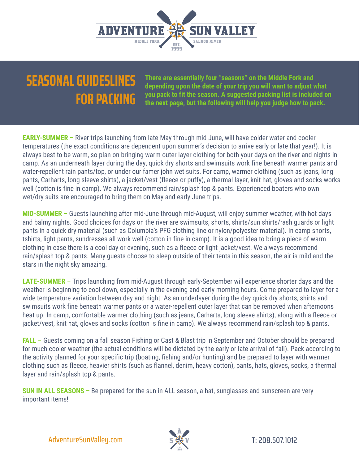

## **SEASONAL GUIDESLINES FOR PACKING**

**There are essentially four "seasons" on the Middle Fork and depending upon the date of your trip you will want to adjust what you pack to fit the season. A suggested packing list is included on the next page, but the following will help you judge how to pack.** 

**EARLY-SUMMER –** River trips launching from late-May through mid-June, will have colder water and cooler temperatures (the exact conditions are dependent upon summer's decision to arrive early or late that year!). It is always best to be warm, so plan on bringing warm outer layer clothing for both your days on the river and nights in camp. As an underneath layer during the day, quick dry shorts and swimsuits work fine beneath warmer pants and water-repellent rain pants/top, or under our famer john wet suits. For camp, warmer clothing (such as jeans, long pants, Carharts, long sleeve shirts), a jacket/vest (fleece or puffy), a thermal layer, knit hat, gloves and socks works well (cotton is fine in camp). We always recommend rain/splash top & pants. Experienced boaters who own wet/dry suits are encouraged to bring them on May and early June trips.

**MID-SUMMER –** Guests launching after mid-June through mid-August, will enjoy summer weather, with hot days and balmy nights. Good choices for days on the river are swimsuits, shorts, shirts/sun shirts/rash guards or light pants in a quick dry material (such as Columbia's PFG clothing line or nylon/polyester material). In camp shorts, tshirts, light pants, sundresses all work well (cotton in fine in camp). It is a good idea to bring a piece of warm clothing in case there is a cool day or evening, such as a fleece or light jacket/vest. We always recommend rain/splash top & pants. Many guests choose to sleep outside of their tents in this season, the air is mild and the stars in the night sky amazing.

**LATE-SUMMER** – Trips launching from mid-August through early-September will experience shorter days and the weather is beginning to cool down, especially in the evening and early morning hours. Come prepared to layer for a wide temperature variation between day and night. As an underlayer during the day quick dry shorts, shirts and swimsuits work fine beneath warmer pants or a water-repellent outer layer that can be removed when afternoons heat up. In camp, comfortable warmer clothing (such as jeans, Carharts, long sleeve shirts), along with a fleece or jacket/vest, knit hat, gloves and socks (cotton is fine in camp). We always recommend rain/splash top & pants.

**FALL** – Guests coming on a fall season Fishing or Cast & Blast trip in September and October should be prepared for much cooler weather (the actual conditions will be dictated by the early or late arrival of fall). Pack according to the activity planned for your specific trip (boating, fishing and/or hunting) and be prepared to layer with warmer clothing such as fleece, heavier shirts (such as flannel, denim, heavy cotton), pants, hats, gloves, socks, a thermal layer and rain/splash top & pants.

**SUN IN ALL SEASONS –** Be prepared for the sun in ALL season, a hat, sunglasses and sunscreen are very important items!